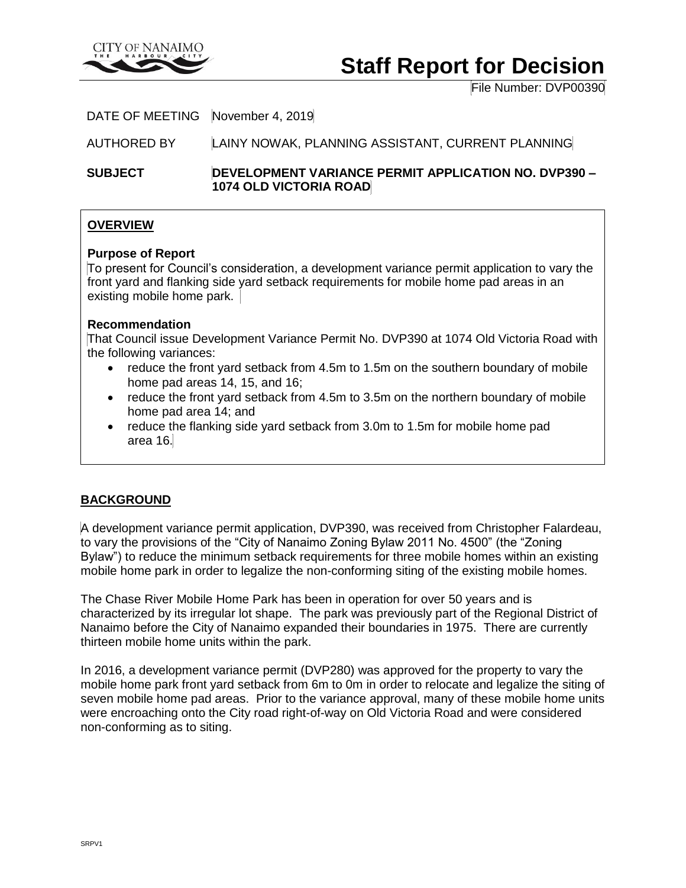

# **Staff Report for Decision**

File Number: DVP00390

DATE OF MEETING November 4, 2019

AUTHORED BY LAINY NOWAK, PLANNING ASSISTANT, CURRENT PLANNING

**SUBJECT DEVELOPMENT VARIANCE PERMIT APPLICATION NO. DVP390 – 1074 OLD VICTORIA ROAD**

# **OVERVIEW**

### **Purpose of Report**

To present for Council's consideration, a development variance permit application to vary the front yard and flanking side yard setback requirements for mobile home pad areas in an existing mobile home park.

### **Recommendation**

That Council issue Development Variance Permit No. DVP390 at 1074 Old Victoria Road with the following variances:

- reduce the front yard setback from 4.5m to 1.5m on the southern boundary of mobile home pad areas 14, 15, and 16;
- reduce the front yard setback from 4.5m to 3.5m on the northern boundary of mobile home pad area 14; and
- reduce the flanking side yard setback from 3.0m to 1.5m for mobile home pad area 16.

# **BACKGROUND**

A development variance permit application, DVP390, was received from Christopher Falardeau, to vary the provisions of the "City of Nanaimo Zoning Bylaw 2011 No. 4500" (the "Zoning Bylaw") to reduce the minimum setback requirements for three mobile homes within an existing mobile home park in order to legalize the non-conforming siting of the existing mobile homes.

The Chase River Mobile Home Park has been in operation for over 50 years and is characterized by its irregular lot shape. The park was previously part of the Regional District of Nanaimo before the City of Nanaimo expanded their boundaries in 1975. There are currently thirteen mobile home units within the park.

In 2016, a development variance permit (DVP280) was approved for the property to vary the mobile home park front yard setback from 6m to 0m in order to relocate and legalize the siting of seven mobile home pad areas. Prior to the variance approval, many of these mobile home units were encroaching onto the City road right-of-way on Old Victoria Road and were considered non-conforming as to siting.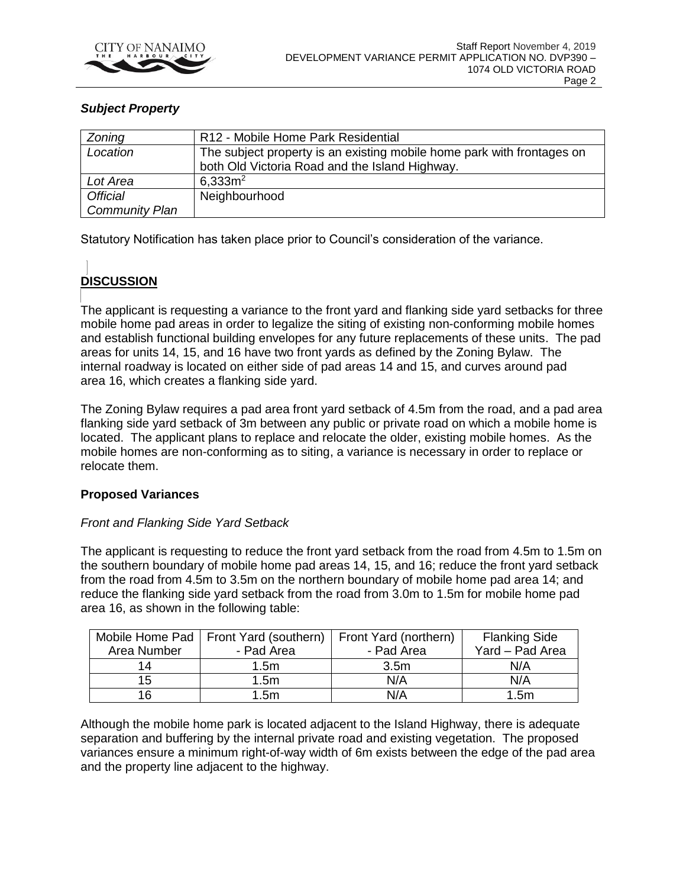

# *Subject Property*

| Zoning                | R12 - Mobile Home Park Residential                                     |  |  |
|-----------------------|------------------------------------------------------------------------|--|--|
| Location              | The subject property is an existing mobile home park with frontages on |  |  |
|                       | both Old Victoria Road and the Island Highway.                         |  |  |
| Lot Area              | 6.333m <sup>2</sup>                                                    |  |  |
| <b>Official</b>       | Neighbourhood                                                          |  |  |
| <b>Community Plan</b> |                                                                        |  |  |

Statutory Notification has taken place prior to Council's consideration of the variance.

# **DISCUSSION**

The applicant is requesting a variance to the front yard and flanking side yard setbacks for three mobile home pad areas in order to legalize the siting of existing non-conforming mobile homes and establish functional building envelopes for any future replacements of these units. The pad areas for units 14, 15, and 16 have two front yards as defined by the Zoning Bylaw. The internal roadway is located on either side of pad areas 14 and 15, and curves around pad area 16, which creates a flanking side yard.

The Zoning Bylaw requires a pad area front yard setback of 4.5m from the road, and a pad area flanking side yard setback of 3m between any public or private road on which a mobile home is located. The applicant plans to replace and relocate the older, existing mobile homes. As the mobile homes are non-conforming as to siting, a variance is necessary in order to replace or relocate them.

### **Proposed Variances**

### *Front and Flanking Side Yard Setback*

The applicant is requesting to reduce the front yard setback from the road from 4.5m to 1.5m on the southern boundary of mobile home pad areas 14, 15, and 16; reduce the front yard setback from the road from 4.5m to 3.5m on the northern boundary of mobile home pad area 14; and reduce the flanking side yard setback from the road from 3.0m to 1.5m for mobile home pad area 16, as shown in the following table:

|             | Mobile Home Pad   Front Yard (southern)   Front Yard (northern) |                  | <b>Flanking Side</b> |
|-------------|-----------------------------------------------------------------|------------------|----------------------|
| Area Number | - Pad Area                                                      | - Pad Area       | Yard - Pad Area      |
| 14          | 1.5m                                                            | 3.5 <sub>m</sub> | N/A                  |
| 15          | 1.5m                                                            | N/A              | N/A                  |
| 16          | 1.5m                                                            | N/A              | 1.5m                 |

Although the mobile home park is located adjacent to the Island Highway, there is adequate separation and buffering by the internal private road and existing vegetation. The proposed variances ensure a minimum right-of-way width of 6m exists between the edge of the pad area and the property line adjacent to the highway.